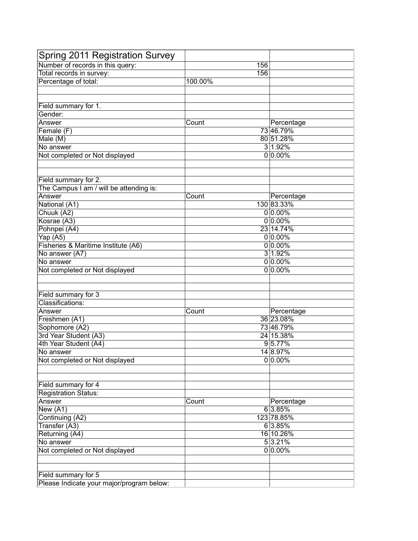| Spring 2011 Registration Survey                    |         |            |
|----------------------------------------------------|---------|------------|
| Number of records in this query:                   | 156     |            |
| Total records in survey:                           | 156     |            |
| Percentage of total:                               | 100.00% |            |
|                                                    |         |            |
|                                                    |         |            |
| Field summary for 1.                               |         |            |
| Gender:                                            |         |            |
| Answer                                             | Count   | Percentage |
| Female (F)                                         |         | 73 46.79%  |
| Male (M)                                           |         | 80 51.28%  |
| No answer                                          |         | 3 1.92%    |
| Not completed or Not displayed                     |         | $0 0.00\%$ |
|                                                    |         |            |
|                                                    |         |            |
| Field summary for 2.                               |         |            |
| The Campus I am / will be attending is:            |         |            |
| Answer                                             | Count   | Percentage |
| National (A1)                                      |         | 130 83.33% |
| Chuuk (A2)                                         |         | $0 0.00\%$ |
| Kosrae (A3)                                        |         | $0 0.00\%$ |
| Pohnpei (A4)                                       |         | 23 14.74%  |
| Yap (A5)                                           |         | $0 0.00\%$ |
| Fisheries & Maritime Institute (A6)                |         | $0 0.00\%$ |
| No answer (A7)                                     |         | 3 1.92%    |
| No answer                                          |         | $0 0.00\%$ |
| Not completed or Not displayed                     |         | $0 0.00\%$ |
|                                                    |         |            |
|                                                    |         |            |
| Field summary for 3                                |         |            |
| Classifications:                                   |         |            |
| Answer                                             | Count   | Percentage |
| Freshmen (A1)                                      |         | 36 23.08%  |
| Sophomore (A2)                                     |         | 73 46.79%  |
| 3rd Year Student (A3)                              |         | 24 15.38%  |
| 4th Year Student (A4)                              |         | 95.77%     |
| No answer                                          |         | 14 8.97%   |
| Not completed or Not displayed                     |         | $0 0.00\%$ |
|                                                    |         |            |
|                                                    |         |            |
|                                                    |         |            |
| Field summary for 4<br><b>Registration Status:</b> |         |            |
| Answer                                             | Count   |            |
|                                                    |         | Percentage |
| New (A1)                                           |         | 6 3.85%    |
| Continuing (A2)                                    |         | 123 78.85% |
| Transfer (A3)                                      |         | 6 3.85%    |
| Returning (A4)                                     |         | 16 10.26%  |
| No answer                                          |         | 5 3.21%    |
| Not completed or Not displayed                     |         | $0 0.00\%$ |
|                                                    |         |            |
|                                                    |         |            |
| Field summary for 5                                |         |            |
| Please Indicate your major/program below:          |         |            |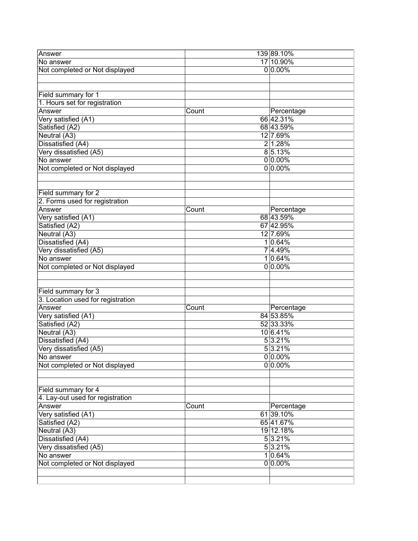| Answer                            |       | 139 89.10% |
|-----------------------------------|-------|------------|
| No answer                         |       | 17 10.90%  |
| Not completed or Not displayed    |       | $0 0.00\%$ |
|                                   |       |            |
|                                   |       |            |
| Field summary for 1               |       |            |
| 1. Hours set for registration     |       |            |
| Answer                            | Count | Percentage |
| Very satisfied (A1)               |       | 66 42.31%  |
| Satisfied (A2)                    |       | 68 43.59%  |
| Neutral (A3)                      |       | 12 7.69%   |
|                                   |       |            |
| Dissatisfied (A4)                 |       | 2 1.28%    |
| Very dissatisfied (A5)            |       | 85.13%     |
| No answer                         |       | $0 0.00\%$ |
| Not completed or Not displayed    |       | $0 0.00\%$ |
|                                   |       |            |
|                                   |       |            |
| Field summary for 2               |       |            |
| 2. Forms used for registration    |       |            |
| Answer                            | Count | Percentage |
| Very satisfied (A1)               |       | 68 43.59%  |
| Satisfied (A2)                    |       | 67 42.95%  |
| Neutral (A3)                      |       | 12 7.69%   |
| Dissatisfied (A4)                 |       | 1 0.64%    |
| Very dissatisfied (A5)            |       | 7 4.49%    |
| No answer                         |       | 1 0.64%    |
| Not completed or Not displayed    |       | $0 0.00\%$ |
|                                   |       |            |
|                                   |       |            |
| Field summary for 3               |       |            |
| 3. Location used for registration |       |            |
| Answer                            | Count | Percentage |
| Very satisfied (A1)               |       | 84 53.85%  |
| Satisfied (A2)                    |       | 52 33.33%  |
| Neutral (A3)                      |       | 10 6.41%   |
|                                   |       | 5 3.21%    |
| Dissatisfied (A4)                 |       | 5 3.21%    |
| Very dissatisfied (A5)            |       |            |
| No answer                         |       | $0 0.00\%$ |
| Not completed or Not displayed    |       | $0 0.00\%$ |
|                                   |       |            |
|                                   |       |            |
| Field summary for 4               |       |            |
| 4. Lay-out used for registration  |       |            |
| Answer                            | Count | Percentage |
| Very satisfied (A1)               |       | 61 39.10%  |
| Satisfied (A2)                    |       | 65 41.67%  |
| Neutral (A3)                      |       | 19 12.18%  |
| Dissatisfied (A4)                 |       | 5 3.21%    |
| Very dissatisfied (A5)            |       | 53.21%     |
| No answer                         |       | 10.64%     |
| Not completed or Not displayed    |       | $0 0.00\%$ |
|                                   |       |            |
|                                   |       |            |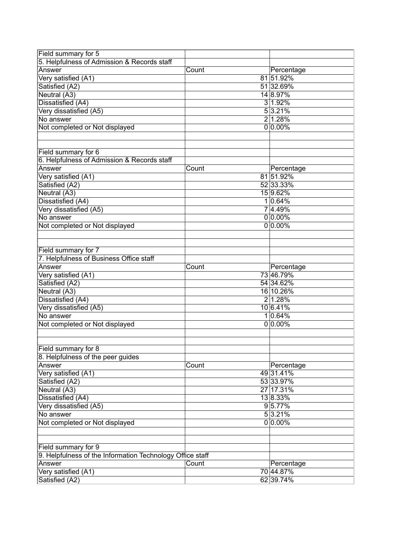| Field summary for 5                                       |       |                         |  |
|-----------------------------------------------------------|-------|-------------------------|--|
| 5. Helpfulness of Admission & Records staff               |       |                         |  |
| Answer                                                    | Count | Percentage              |  |
| Very satisfied (A1)                                       |       | 81 51.92%               |  |
| Satisfied (A2)                                            |       | 51 32.69%               |  |
| Neutral (A3)                                              |       | 14 8.97%                |  |
| Dissatisfied (A4)                                         |       | 3 1.92%                 |  |
| Very dissatisfied (A5)                                    |       | 53.21%                  |  |
| No answer                                                 |       | 2 1.28%                 |  |
| Not completed or Not displayed                            |       | $0 0.00\%$              |  |
|                                                           |       |                         |  |
|                                                           |       |                         |  |
| Field summary for 6                                       |       |                         |  |
| 6. Helpfulness of Admission & Records staff               |       |                         |  |
| Answer                                                    | Count | Percentage              |  |
| Very satisfied (A1)                                       |       | 81 51.92%               |  |
| Satisfied (A2)                                            |       | 52 33.33%               |  |
| Neutral (A3)                                              |       | 15 9.62%                |  |
| Dissatisfied (A4)                                         |       | 1 0.64%                 |  |
| Very dissatisfied (A5)                                    |       | 7 4.49%                 |  |
| No answer                                                 |       | $0 0.00\%$              |  |
| Not completed or Not displayed                            |       | $0 0.00\%$              |  |
|                                                           |       |                         |  |
|                                                           |       |                         |  |
| Field summary for 7                                       |       |                         |  |
| 7. Helpfulness of Business Office staff                   |       |                         |  |
| Answer                                                    | Count |                         |  |
|                                                           |       | Percentage<br>73 46.79% |  |
| Very satisfied (A1)                                       |       |                         |  |
| Satisfied (A2)                                            |       | 54 34.62%               |  |
| Neutral (A3)                                              |       | 16 10.26%               |  |
| Dissatisfied (A4)                                         |       | 2 1.28%                 |  |
| Very dissatisfied (A5)                                    |       | 10 6.41%                |  |
| No answer                                                 |       | 1 0.64%                 |  |
| Not completed or Not displayed                            |       | $0 0.00\%$              |  |
|                                                           |       |                         |  |
|                                                           |       |                         |  |
| Field summary for 8                                       |       |                         |  |
| 8. Helpfulness of the peer guides                         |       |                         |  |
| Answer                                                    | Count | Percentage              |  |
| Very satisfied (A1)                                       |       | 49 31.41%               |  |
| Satisfied (A2)                                            |       | 53 33.97%               |  |
| Neutral (A3)                                              |       | 27 17.31%               |  |
| Dissatisfied (A4)                                         |       | 13 8.33%                |  |
| Very dissatisfied (A5)                                    |       | 95.77%                  |  |
| No answer                                                 |       | 5 3.21%                 |  |
| Not completed or Not displayed                            |       | $0 0.00\%$              |  |
|                                                           |       |                         |  |
|                                                           |       |                         |  |
| Field summary for 9                                       |       |                         |  |
| 9. Helpfulness of the Information Technology Office staff |       |                         |  |
| Answer                                                    | Count | Percentage              |  |
| Very satisfied (A1)                                       |       | 70 44.87%               |  |
| Satisfied (A2)                                            |       | 62 39.74%               |  |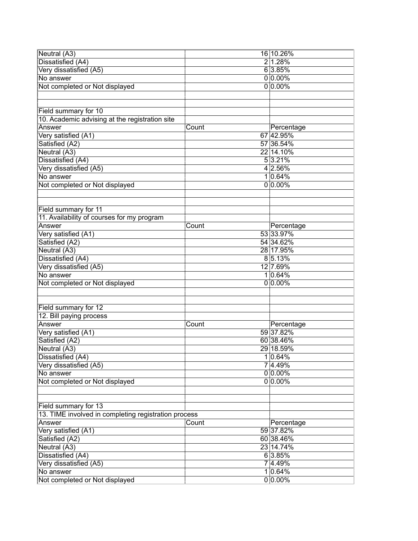| Neutral (A3)                                         |       | 16 10.26%  |
|------------------------------------------------------|-------|------------|
| Dissatisfied (A4)                                    |       | 2 1.28%    |
| Very dissatisfied (A5)                               |       | 6 3.85%    |
| No answer                                            |       | $0 0.00\%$ |
| Not completed or Not displayed                       |       | $0 0.00\%$ |
|                                                      |       |            |
|                                                      |       |            |
| Field summary for 10                                 |       |            |
| 10. Academic advising at the registration site       |       |            |
| Answer                                               | Count | Percentage |
| Very satisfied (A1)                                  |       | 67 42.95%  |
| Satisfied (A2)                                       |       | 57 36.54%  |
| Neutral (A3)                                         |       | 22 14.10%  |
|                                                      |       |            |
| Dissatisfied (A4)                                    |       | 5 3.21%    |
| Very dissatisfied (A5)                               |       | 4 2.56%    |
| No answer                                            |       | 10.64%     |
| Not completed or Not displayed                       |       | $0 0.00\%$ |
|                                                      |       |            |
|                                                      |       |            |
| Field summary for 11                                 |       |            |
| 11. Availability of courses for my program           |       |            |
| Answer                                               | Count | Percentage |
| Very satisfied (A1)                                  |       | 53 33.97%  |
| Satisfied (A2)                                       |       | 54 34.62%  |
| Neutral (A3)                                         |       | 28 17.95%  |
| Dissatisfied (A4)                                    |       | 8 5.13%    |
| Very dissatisfied (A5)                               |       | 12 7.69%   |
| No answer                                            |       | 1 0.64%    |
| Not completed or Not displayed                       |       | $0 0.00\%$ |
|                                                      |       |            |
|                                                      |       |            |
| Field summary for 12                                 |       |            |
| 12. Bill paying process                              |       |            |
| Answer                                               | Count | Percentage |
| Very satisfied (A1)                                  |       | 59 37.82%  |
| Satisfied (A2)                                       |       | 60 38.46%  |
| Neutral (A3)                                         |       | 29 18.59%  |
| Dissatisfied (A4)                                    |       | 1 0.64%    |
| Very dissatisfied (A5)                               |       | 74.49%     |
| No answer                                            |       | $0 0.00\%$ |
| Not completed or Not displayed                       |       | $0 0.00\%$ |
|                                                      |       |            |
|                                                      |       |            |
|                                                      |       |            |
| Field summary for 13                                 |       |            |
| 13. TIME involved in completing registration process |       |            |
| Answer                                               | Count | Percentage |
| Very satisfied (A1)                                  |       | 59 37.82%  |
| Satisfied (A2)                                       |       | 60 38.46%  |
| Neutral (A3)                                         |       | 23 14.74%  |
| Dissatisfied (A4)                                    |       | 6 3.85%    |
| Very dissatisfied (A5)                               |       | 7 4.49%    |
| No answer                                            |       | 1 0.64%    |
| Not completed or Not displayed                       |       | $0 0.00\%$ |